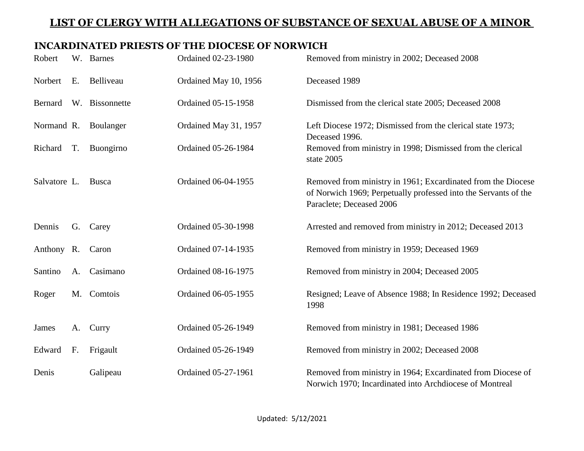#### **INCARDINATED PRIESTS OF THE DIOCESE OF NORWICH**

| Robert       |    | W. Barnes      | Ordained 02-23-1980        | Removed from ministry in 2002; Deceased 2008                                                                                                                |
|--------------|----|----------------|----------------------------|-------------------------------------------------------------------------------------------------------------------------------------------------------------|
| Norbert      | E. | Belliveau      | Ordained May 10, 1956      | Deceased 1989                                                                                                                                               |
| Bernard      |    | W. Bissonnette | Ordained 05-15-1958        | Dismissed from the clerical state 2005; Deceased 2008                                                                                                       |
| Normand R.   |    | Boulanger      | Ordained May 31, 1957      | Left Diocese 1972; Dismissed from the clerical state 1973;<br>Deceased 1996.                                                                                |
| Richard      | T. | Buongirno      | Ordained 05-26-1984        | Removed from ministry in 1998; Dismissed from the clerical<br>state 2005                                                                                    |
| Salvatore L. |    | <b>Busca</b>   | Ordained 06-04-1955        | Removed from ministry in 1961; Excardinated from the Diocese<br>of Norwich 1969; Perpetually professed into the Servants of the<br>Paraclete; Deceased 2006 |
| Dennis       | G. | Carey          | Ordained 05-30-1998        | Arrested and removed from ministry in 2012; Deceased 2013                                                                                                   |
| Anthony R.   |    | Caron          | Ordained 07-14-1935        | Removed from ministry in 1959; Deceased 1969                                                                                                                |
| Santino      | A. | Casimano       | Ordained 08-16-1975        | Removed from ministry in 2004; Deceased 2005                                                                                                                |
| Roger        |    | M. Comtois     | <b>Ordained 06-05-1955</b> | Resigned; Leave of Absence 1988; In Residence 1992; Deceased<br>1998                                                                                        |
| James        | A. | Curry          | <b>Ordained 05-26-1949</b> | Removed from ministry in 1981; Deceased 1986                                                                                                                |
| Edward       | F. | Frigault       | Ordained 05-26-1949        | Removed from ministry in 2002; Deceased 2008                                                                                                                |
| Denis        |    | Galipeau       | Ordained 05-27-1961        | Removed from ministry in 1964; Excardinated from Diocese of<br>Norwich 1970; Incardinated into Archdiocese of Montreal                                      |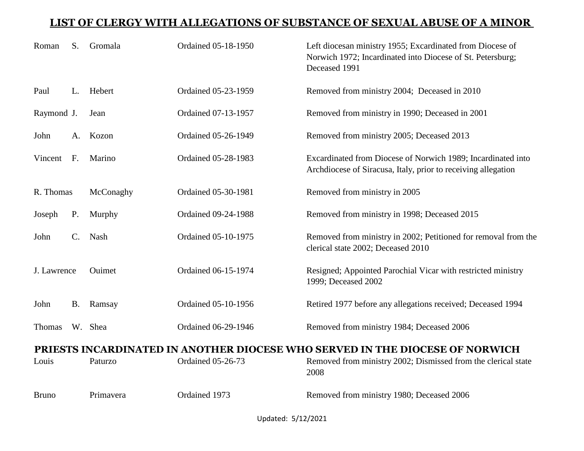| Roman                                                                        | S <sub>1</sub> | Gromala   | <b>Ordained 05-18-1950</b> | Left diocesan ministry 1955; Excardinated from Diocese of<br>Norwich 1972; Incardinated into Diocese of St. Petersburg;<br>Deceased 1991 |
|------------------------------------------------------------------------------|----------------|-----------|----------------------------|------------------------------------------------------------------------------------------------------------------------------------------|
| Paul                                                                         | L.             | Hebert    | Ordained 05-23-1959        | Removed from ministry 2004; Deceased in 2010                                                                                             |
| Raymond J.                                                                   |                | Jean      | Ordained 07-13-1957        | Removed from ministry in 1990; Deceased in 2001                                                                                          |
| John                                                                         | A.             | Kozon     | <b>Ordained 05-26-1949</b> | Removed from ministry 2005; Deceased 2013                                                                                                |
| Vincent                                                                      | F <sub>r</sub> | Marino    | <b>Ordained 05-28-1983</b> | Excardinated from Diocese of Norwich 1989; Incardinated into<br>Archdiocese of Siracusa, Italy, prior to receiving allegation            |
| R. Thomas                                                                    |                | McConaghy | Ordained 05-30-1981        | Removed from ministry in 2005                                                                                                            |
| Joseph                                                                       | P.             | Murphy    | <b>Ordained 09-24-1988</b> | Removed from ministry in 1998; Deceased 2015                                                                                             |
| John                                                                         | $C_{\cdot}$    | Nash      | Ordained 05-10-1975        | Removed from ministry in 2002; Petitioned for removal from the<br>clerical state 2002; Deceased 2010                                     |
| J. Lawrence                                                                  |                | Ouimet    | Ordained 06-15-1974        | Resigned; Appointed Parochial Vicar with restricted ministry<br>1999; Deceased 2002                                                      |
| John                                                                         | <b>B.</b>      | Ramsay    | <b>Ordained 05-10-1956</b> | Retired 1977 before any allegations received; Deceased 1994                                                                              |
| Thomas                                                                       |                | W. Shea   | Ordained 06-29-1946        | Removed from ministry 1984; Deceased 2006                                                                                                |
| PRIESTS INCARDINATED IN ANOTHER DIOCESE WHO SERVED IN THE DIOCESE OF NORWICH |                |           |                            |                                                                                                                                          |
| Louis                                                                        |                | Paturzo   | <b>Ordained 05-26-73</b>   | Removed from ministry 2002; Dismissed from the clerical state<br>2008                                                                    |
| <b>Bruno</b>                                                                 |                | Primavera | Ordained 1973              | Removed from ministry 1980; Deceased 2006                                                                                                |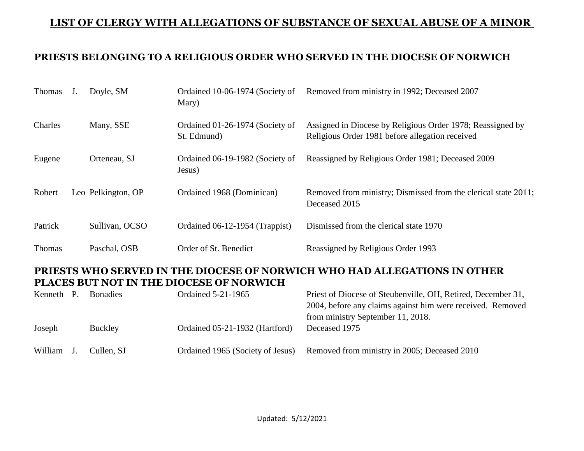#### **PRIESTS BELONGING TO A RELIGIOUS ORDER WHO SERVED IN THE DIOCESE OF NORWICH**

| J.                                                                                                                                                                                                                                                                                                                                                                                                           |                | Ordained 10-06-1974 (Society of<br>Mary)                                                           | Removed from ministry in 1992; Deceased 2007                                                                  |  |
|--------------------------------------------------------------------------------------------------------------------------------------------------------------------------------------------------------------------------------------------------------------------------------------------------------------------------------------------------------------------------------------------------------------|----------------|----------------------------------------------------------------------------------------------------|---------------------------------------------------------------------------------------------------------------|--|
|                                                                                                                                                                                                                                                                                                                                                                                                              | Many, SSE      | Ordained 01-26-1974 (Society of<br>St. Edmund)                                                     | Assigned in Diocese by Religious Order 1978; Reassigned by<br>Religious Order 1981 before allegation received |  |
|                                                                                                                                                                                                                                                                                                                                                                                                              | Orteneau, SJ   | Ordained 06-19-1982 (Society of<br>Jesus)                                                          | Reassigned by Religious Order 1981; Deceased 2009                                                             |  |
|                                                                                                                                                                                                                                                                                                                                                                                                              |                | Ordained 1968 (Dominican)                                                                          | Removed from ministry; Dismissed from the clerical state 2011;<br>Deceased 2015                               |  |
|                                                                                                                                                                                                                                                                                                                                                                                                              | Sullivan, OCSO | Ordained 06-12-1954 (Trappist)                                                                     | Dismissed from the clerical state 1970                                                                        |  |
|                                                                                                                                                                                                                                                                                                                                                                                                              | Paschal, OSB   | Order of St. Benedict                                                                              | Reassigned by Religious Order 1993                                                                            |  |
| PRIESTS WHO SERVED IN THE DIOCESE OF NORWICH WHO HAD ALLEGATIONS IN OTHER<br>PLACES BUT NOT IN THE DIOCESE OF NORWICH<br>$\mathbf{D}_{n+1}$ of $\mathbf{D}_{n+1}$ is the set of $\mathbf{D}_{n+1}$ and $\mathbf{D}_{n+1}$ is the set of $\mathbf{D}_{n+1}$ is the set of $\mathbf{D}_{n+1}$ is the set of $\mathbf{D}_{n+1}$ is the set of $\mathbf{D}_{n+1}$ is the set of $\mathbf{D}_{n+1}$ is the set of |                |                                                                                                    |                                                                                                               |  |
|                                                                                                                                                                                                                                                                                                                                                                                                              |                | Doyle, SM<br>Leo Pelkington, OP<br>$\mathbf{V}$ , and $\mathbf{D}$ $\mathbf{D}$ , and $\mathbf{V}$ |                                                                                                               |  |

| Kenneth P. | <b>Bonadies</b> | <b>Ordained 5-21-1965</b>        | Priest of Diocese of Steubenville, OH, Retired, December 31, |
|------------|-----------------|----------------------------------|--------------------------------------------------------------|
|            |                 |                                  | 2004, before any claims against him were received. Removed   |
|            |                 |                                  | from ministry September 11, 2018.                            |
| Joseph     | <b>Buckley</b>  | Ordained 05-21-1932 (Hartford)   | Deceased 1975                                                |
| William    | Cullen, SJ      | Ordained 1965 (Society of Jesus) | Removed from ministry in 2005; Deceased 2010                 |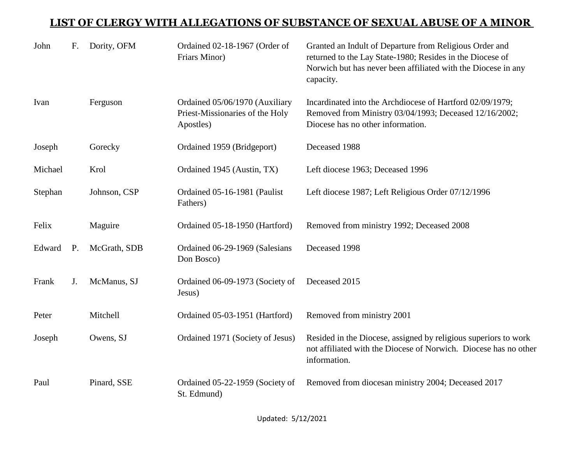| John    | F.        | Dority, OFM  | Ordained 02-18-1967 (Order of<br>Friars Minor)                                 | Granted an Indult of Departure from Religious Order and<br>returned to the Lay State-1980; Resides in the Diocese of<br>Norwich but has never been affiliated with the Diocese in any<br>capacity. |
|---------|-----------|--------------|--------------------------------------------------------------------------------|----------------------------------------------------------------------------------------------------------------------------------------------------------------------------------------------------|
| Ivan    |           | Ferguson     | Ordained 05/06/1970 (Auxiliary<br>Priest-Missionaries of the Holy<br>Apostles) | Incardinated into the Archdiocese of Hartford 02/09/1979;<br>Removed from Ministry 03/04/1993; Deceased 12/16/2002;<br>Diocese has no other information.                                           |
| Joseph  |           | Gorecky      | Ordained 1959 (Bridgeport)                                                     | Deceased 1988                                                                                                                                                                                      |
| Michael |           | Krol         | Ordained 1945 (Austin, TX)                                                     | Left diocese 1963; Deceased 1996                                                                                                                                                                   |
| Stephan |           | Johnson, CSP | Ordained 05-16-1981 (Paulist<br>Fathers)                                       | Left diocese 1987; Left Religious Order 07/12/1996                                                                                                                                                 |
| Felix   |           | Maguire      | Ordained 05-18-1950 (Hartford)                                                 | Removed from ministry 1992; Deceased 2008                                                                                                                                                          |
| Edward  | <b>P.</b> | McGrath, SDB | Ordained 06-29-1969 (Salesians<br>Don Bosco)                                   | Deceased 1998                                                                                                                                                                                      |
| Frank   | J.        | McManus, SJ  | Ordained 06-09-1973 (Society of<br>Jesus)                                      | Deceased 2015                                                                                                                                                                                      |
| Peter   |           | Mitchell     | Ordained 05-03-1951 (Hartford)                                                 | Removed from ministry 2001                                                                                                                                                                         |
| Joseph  |           | Owens, SJ    | Ordained 1971 (Society of Jesus)                                               | Resided in the Diocese, assigned by religious superiors to work<br>not affiliated with the Diocese of Norwich. Diocese has no other<br>information.                                                |
| Paul    |           | Pinard, SSE  | Ordained 05-22-1959 (Society of<br>St. Edmund)                                 | Removed from diocesan ministry 2004; Deceased 2017                                                                                                                                                 |